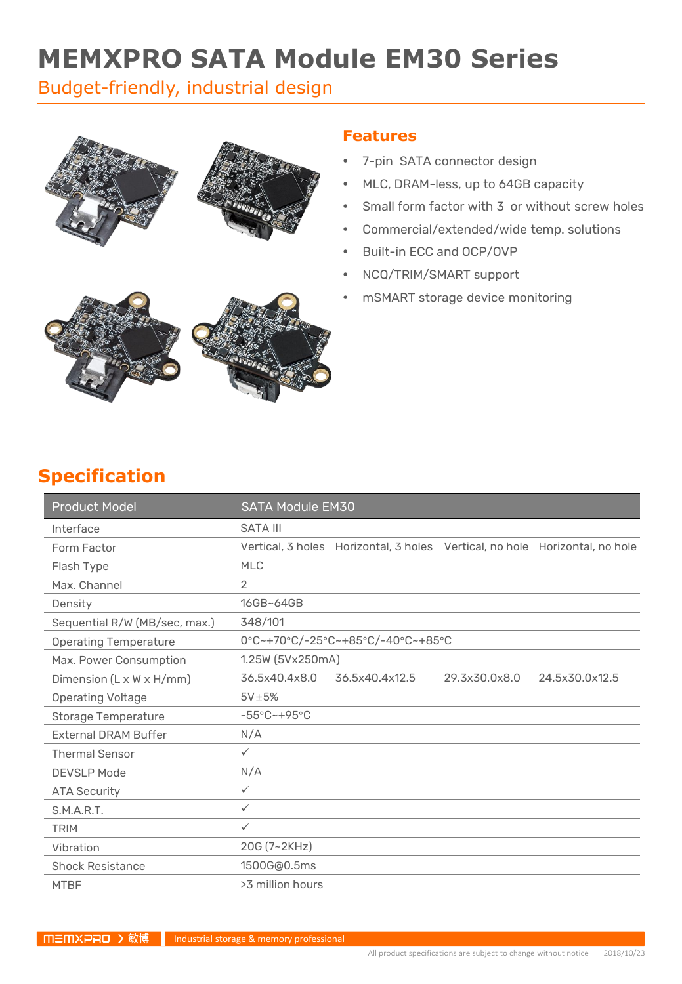# **MEMXPRO SATA Module EM30 Series**

### Budget-friendly, industrial design



### **Features**

- 7-pin SATA connector design
- MLC, DRAM-less, up to 64GB capacity
- Small form factor with 3 or without screw holes
- Commercial/extended/wide temp. solutions
- Built-in ECC and OCP/OVP
- NCQ/TRIM/SMART support
- mSMART storage device monitoring



| <b>Product Model</b>          | <b>SATA Module EM30</b>            |                                                                             |               |                |
|-------------------------------|------------------------------------|-----------------------------------------------------------------------------|---------------|----------------|
| Interface                     | <b>SATA III</b>                    |                                                                             |               |                |
| Form Factor                   |                                    | Vertical, 3 holes Horizontal, 3 holes Vertical, no hole Horizontal, no hole |               |                |
| Flash Type                    | <b>MLC</b>                         |                                                                             |               |                |
| Max. Channel                  | $\overline{2}$                     |                                                                             |               |                |
| Density                       | 16GB~64GB                          |                                                                             |               |                |
| Sequential R/W (MB/sec, max.) | 348/101                            |                                                                             |               |                |
| <b>Operating Temperature</b>  |                                    | 0°C~+70°C/-25°C~+85°C/-40°C~+85°C                                           |               |                |
| Max. Power Consumption        | 1.25W (5Vx250mA)                   |                                                                             |               |                |
| Dimension (L x W x H/mm)      | 36.5x40.4x8.0                      | 36.5x40.4x12.5                                                              | 29.3x30.0x8.0 | 24.5x30.0x12.5 |
| <b>Operating Voltage</b>      | $5V\pm5%$                          |                                                                             |               |                |
| Storage Temperature           | $-55^{\circ}$ C ~ +95 $^{\circ}$ C |                                                                             |               |                |
| <b>External DRAM Buffer</b>   | N/A                                |                                                                             |               |                |
| <b>Thermal Sensor</b>         | $\checkmark$                       |                                                                             |               |                |
| <b>DEVSLP Mode</b>            | N/A                                |                                                                             |               |                |
| <b>ATA Security</b>           | $\checkmark$                       |                                                                             |               |                |
| S.M.A.R.T.                    | $\checkmark$                       |                                                                             |               |                |
| <b>TRIM</b>                   | $\checkmark$                       |                                                                             |               |                |
| Vibration                     | 20G (7~2KHz)                       |                                                                             |               |                |
| <b>Shock Resistance</b>       | 1500G@0.5ms                        |                                                                             |               |                |
| <b>MTBF</b>                   | >3 million hours                   |                                                                             |               |                |